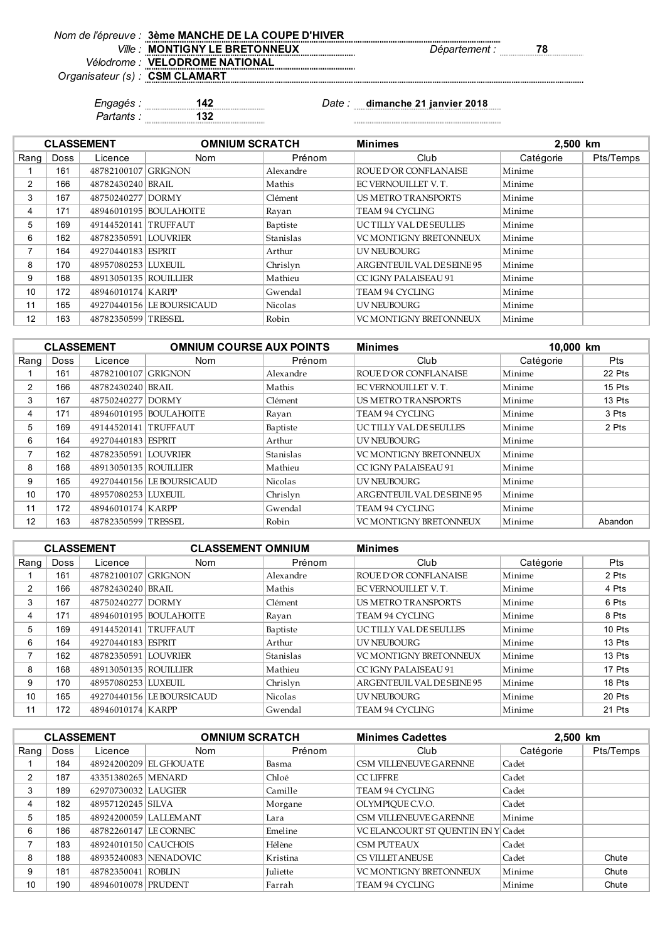|                                | Vom de l'épreuve : 3ème MANCHE DE LA COUPE D'HIVER |
|--------------------------------|----------------------------------------------------|
|                                | Ville: MONTIGNY LE BRETONNEUX                      |
|                                | Vélodrome : VELODROME NATIONAL                     |
| Organisateur (s) : CSM CLAMART |                                                    |

*Ville : Département :* **78**

 $Nom de$ 

*Partants :* **132**

*Engagés :* **142** *Date :* **dimanche 21 janvier 2018**

|                |      | <b>CLASSEMENT</b>     | <b>OMNIUM SCRATCH</b>     |                  | <b>Minimes</b>                | 2,500 km  |           |
|----------------|------|-----------------------|---------------------------|------------------|-------------------------------|-----------|-----------|
| Rang           | Doss | Licence               | <b>Nom</b>                | Prénom           | Club                          | Catégorie | Pts/Temps |
|                | 161  | 48782100107 GRIGNON   |                           | Alexandre        | <b>ROUE D'OR CONFLANAISE</b>  | Minime    |           |
| 2              | 166  | 48782430240 BRAIL     |                           | Mathis           | EC VERNOUILLET V.T.           | Minime    |           |
| 3              | 167  | 48750240277 DORMY     |                           | Clément          | <b>US METRO TRANSPORTS</b>    | Minime    |           |
| 4              | 171  |                       | 48946010195   BOULAHOITE  | Rayan            | TEAM 94 CYCLING               | Minime    |           |
| 5              | 169  | 49144520141 TRUFFAUT  |                           | Baptiste         | UC TILLY VAL DE SEULLES       | Minime    |           |
| 6              | 162  | 48782350591 LOUVRIER  |                           | <b>Stanislas</b> | <b>VC MONTIGNY BRETONNEUX</b> | Minime    |           |
| $\overline{ }$ | 164  | 49270440183 ESPRIT    |                           | Arthur           | UV NEUBOURG                   | Minime    |           |
| 8              | 170  | 48957080253 LUXEUIL   |                           | Chrislyn         | ARGENTEUIL VAL DE SEINE 95    | Minime    |           |
| 9              | 168  | 48913050135 ROUILLIER |                           | Mathieu          | CC IGNY PALAISEAU 91          | Minime    |           |
| 10             | 172  | 48946010174 KARPP     |                           | Gwendal          | TEAM 94 CYCLING               | Minime    |           |
| 11             | 165  |                       | 49270440156 LE BOURSICAUD | <b>Nicolas</b>   | UV NEUBOURG                   | Minime    |           |
| 12             | 163  | 48782350599 TRESSEL   |                           | Robin            | <b>VC MONTIGNY BRETONNEUX</b> | Minime    |           |

|                |      | <b>CLASSEMENT</b>     | <b>OMNIUM COURSE AUX POINTS</b> |                | <b>Minimes</b>                | 10,000 km |            |
|----------------|------|-----------------------|---------------------------------|----------------|-------------------------------|-----------|------------|
| Rang           | Doss | Licence               | Nom                             | Prénom         | Club                          | Catégorie | <b>Pts</b> |
|                | 161  | 48782100107 GRIGNON   |                                 | Alexandre      | ROUE D'OR CONFLANAISE         | Minime    | 22 Pts     |
| 2              | 166  | 48782430240 BRAIL     |                                 | Mathis         | EC VERNOUILLET V.T.           | Minime    | 15 Pts     |
| 3              | 167  | 48750240277 DORMY     |                                 | Clément        | <b>US METRO TRANSPORTS</b>    | Minime    | 13 Pts     |
| 4              | 171  |                       | 48946010195   BOULAHOITE        | Rayan          | TEAM 94 CYCLING               | Minime    | 3 Pts      |
| 5              | 169  | 49144520141 TRUFFAUT  |                                 | Baptiste       | UC TILLY VAL DE SEULLES       | Minime    | 2 Pts      |
| 6              | 164  | 49270440183 ESPRIT    |                                 | Arthur         | UV NEUBOURG                   | Minime    |            |
| $\overline{ }$ | 162  | 48782350591 LOUVRIER  |                                 | Stanislas      | <b>VC MONTIGNY BRETONNEUX</b> | Minime    |            |
| 8              | 168  | 48913050135 ROUILLIER |                                 | Mathieu        | CC IGNY PALAISEAU 91          | Minime    |            |
| 9              | 165  |                       | 49270440156 LEBOURSICAUD        | <b>Nicolas</b> | UV NEUBOURG                   | Minime    |            |
| 10             | 170  | 48957080253 LUXEUIL   |                                 | Chrislyn       | ARGENTEUIL VAL DE SEINE 95    | Minime    |            |
| 11             | 172  | 48946010174 KARPP     |                                 | Gwendal        | TEAM 94 CYCLING               | Minime    |            |
| 12             | 163  | 48782350599 TRESSEL   |                                 | Robin          | <b>VC MONTIGNY BRETONNEUX</b> | Minime    | Abandon    |

|      |      | <b>CLASSEMENT</b>      | <b>CLASSEMENT OMNIUM</b>   |                | <b>Minimes</b>                |           |            |
|------|------|------------------------|----------------------------|----------------|-------------------------------|-----------|------------|
| Rang | Doss | Licence                | <b>Nom</b>                 | Prénom         | Club                          | Catégorie | <b>Pts</b> |
|      | 161  | 48782100107 GRIGNON    |                            | Alexandre      | ROUE D'OR CONFLANAISE         | Minime    | 2 Pts      |
| 2    | 166  | 48782430240 BRAIL      |                            | Mathis         | EC VERNOUILLET V.T.           | Minime    | 4 Pts      |
| 3    | 167  | 48750240277 DORMY      |                            | Clément        | <b>US METRO TRANSPORTS</b>    | Minime    | 6 Pts      |
| 4    | 171  |                        | 48946010195   BOULAHOITE   | Rayan          | TEAM 94 CYCLING               | Minime    | 8 Pts      |
| 5    | 169  | 49144520141 TRUFFAUT   |                            | Baptiste       | UCTILLY VAL DESEULLES         | Minime    | 10 Pts     |
| 6    | 164  | 49270440183 ESPRIT     |                            | Arthur         | UV NEUBOURG                   | Minime    | 13 Pts     |
|      | 162  | 48782350591   LOUVRIER |                            | Stanislas      | <b>VC MONTIGNY BRETONNEUX</b> | Minime    | 13 Pts     |
| 8    | 168  | 48913050135 ROUILLIER  |                            | Mathieu        | CC IGNY PALAISEAU 91          | Minime    | 17 Pts     |
| 9    | 170  | 48957080253 LUXEUIL    |                            | Chrislyn       | ARGENTEUIL VAL DE SEINE 95    | Minime    | 18 Pts     |
| 10   | 165  |                        | 49270440156 ILE BOURSICAUD | <b>Nicolas</b> | UV NEUBOURG                   | Minime    | 20 Pts     |
| 11   | 172  | 48946010174 KARPP      |                            | Gwendal        | <b>TEAM 94 CYCLING</b>        | Minime    | 21 Pts     |

|                          |             | <b>CLASSEMENT</b>     | <b>OMNIUM SCRATCH</b>  |                 | <b>Minimes Cadettes</b>            | 2,500 km  |           |
|--------------------------|-------------|-----------------------|------------------------|-----------------|------------------------------------|-----------|-----------|
| Rang                     | <b>Doss</b> | Licence               | <b>Nom</b>             | Prénom          | Club                               | Catégorie | Pts/Temps |
|                          | 184         |                       | 48924200209 EL GHOUATE | Basma           | CSM VILLENEUVE GARENNE             | Cadet     |           |
| $\overline{2}$           | 187         | 43351380265 MENARD    |                        | Chloé           | <b>CCLIFFRE</b>                    | Cadet     |           |
| 3                        | 189         | 62970730032 LAUGIER   |                        | Camille         | TEAM 94 CYCLING                    | Cadet     |           |
| 4                        | 182         | 48957120245 SILVA     |                        | Morgane         | OLYMPIOUE C.V.O.                   | Cadet     |           |
| 5                        | 185         |                       | 48924200059 LALLEMANT  | Lara            | CSM VILLENEUVE GARENNE             | Minime    |           |
| 6                        | 186         | 48782260147 LE CORNEC |                        | Emeline         | VC ELANCOURT ST OUENTIN EN Y Cadet |           |           |
| $\overline{\phantom{a}}$ | 183         | 48924010150 CAUCHOIS  |                        | Hélène          | <b>CSM PUTEAUX</b>                 | Cadet     |           |
| 8                        | 188         |                       | 48935240083 NENADOVIC  | Kristina        | CS VILLET ANEUSE                   | Cadet     | Chute     |
| 9                        | 181         | 48782350041 ROBLIN    |                        | <b>Juliette</b> | <b>VC MONTIGNY BRETONNEUX</b>      | Minime    | Chute     |
| 10                       | 190         | 48946010078 PRUDENT   |                        | Farrah          | <b>TEAM 94 CYCLING</b>             | Minime    | Chute     |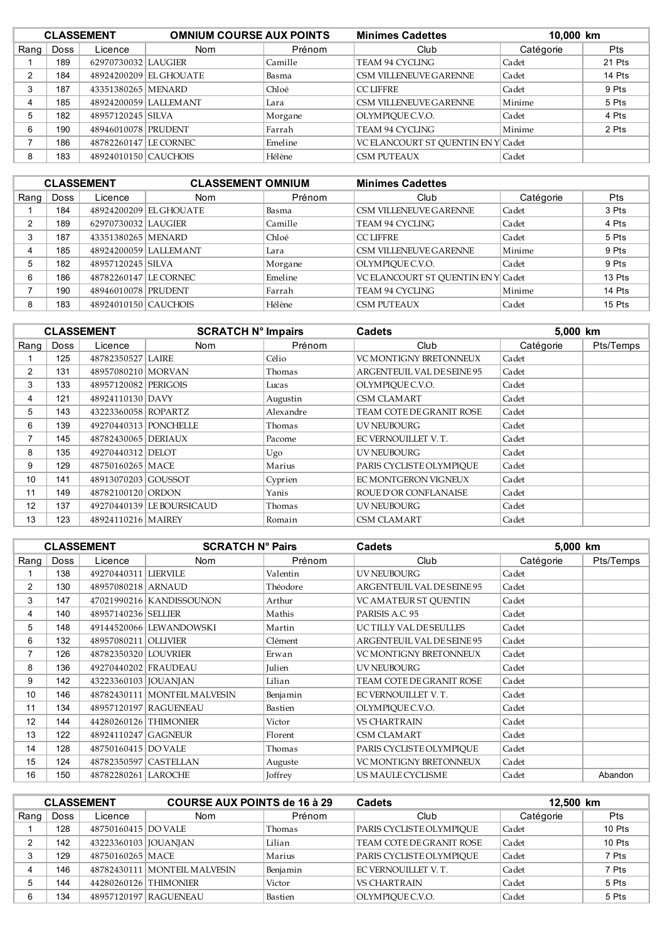| <b>CLASSEMENT</b> |      |                       | <b>OMNIUM COURSE AUX POINTS</b> |         | <b>Minimes Cadettes</b>            | 10,000 km |        |
|-------------------|------|-----------------------|---------------------------------|---------|------------------------------------|-----------|--------|
| Rang              | Doss | Licence               | Nom                             | Prénom  | Club                               | Catégorie | Pts    |
|                   | 189  | 62970730032 LAUGIER   |                                 | Camille | TEAM 94 CYCLING                    | Cadet     | 21 Pts |
| ົ                 | 184  |                       | 48924200209 EL GHOUATE          | Basma   | CSM VILLENEUVE GARENNE             | Cadet     | 14 Pts |
| 3                 | 187  | 43351380265 MENARD    |                                 | Chloé   | <b>CCLIFFRE</b>                    | Cadet     | 9 Pts  |
|                   | 185  |                       | 48924200059 LALLEMANT           | Lara    | CSM VILLENEUVE GARENNE             | Minime    | 5 Pts  |
| 5                 | 182  | 48957120245 SILVA     |                                 | Morgane | OLYMPIOUE C.V.O.                   | Cadet     | 4 Pts  |
| 6                 | 190  | 48946010078 PRUDENT   |                                 | Farrah  | <b>TEAM 94 CYCLING</b>             | Minime    | 2 Pts  |
|                   | 186  | 48782260147 LE CORNEC |                                 | Emeline | VC ELANCOURT ST OUENTIN EN Y Cadet |           |        |
| 8                 | 183  | 48924010150 CAUCHOIS  |                                 | Hélène  | <b>CSM PUTEAUX</b>                 | Cadet     |        |

| <b>CLASSEMENT</b> |      |                       | <b>CLASSEMENT OMNIUM</b> |         | <b>Minimes Cadettes</b>            |           |            |
|-------------------|------|-----------------------|--------------------------|---------|------------------------------------|-----------|------------|
| Rang              | Doss | Licence               | <b>Nom</b>               | Prénom  | Club                               | Catégorie | <b>Pts</b> |
|                   | 184  |                       | 48924200209 EL GHOUATE   | Basma   | CSM VILLENEUVE GARENNE             | Cadet     | 3 Pts      |
| C                 | 189  | 62970730032 LAUGIER   |                          | Camille | TEAM 94 CYCLING                    | Cadet     | 4 Pts      |
| 3                 | 187  | 43351380265 MENARD    |                          | Chloé   | <b>CCLIFFRE</b>                    | Cadet     | 5 Pts      |
|                   | 185  |                       | 48924200059 LALLEMANT    | Lara    | CSM VILLENEUVE GARENNE             | Minime    | 9 Pts      |
| 5                 | 182  | 48957120245 SILVA     |                          | Morgane | OLYMPIQUE C.V.O.                   | Cadet     | 9 Pts      |
| 6                 | 186  | 48782260147 LE CORNEC |                          | Emeline | VC ELANCOURT ST OUENTIN EN Y Cadet |           | 13 Pts     |
|                   | 190  | 48946010078 PRUDENT   |                          | Farrah  | TEAM 94 CYCLING                    | Minime    | 14 Pts     |
| 8                 | 183  | 48924010150 CAUCHOIS  |                          | Hélène  | <b>CSM PUTEAUX</b>                 | Cadet     | $15P$ ts   |

|                |      | <b>CLASSEMENT</b>     | <b>SCRATCH N° Impairs</b> |           | <b>Cadets</b>                 | 5,000 km  |           |
|----------------|------|-----------------------|---------------------------|-----------|-------------------------------|-----------|-----------|
| Rang           | Doss | Licence               | Nom                       | Prénom    | Club                          | Catégorie | Pts/Temps |
|                | 125  | 48782350527 LAIRE     |                           | Célio     | <b>VC MONTIGNY BRETONNEUX</b> | Cadet     |           |
| $\overline{2}$ | 131  | 48957080210 MORVAN    |                           | Thomas    | ARGENTEUIL VAL DE SEINE 95    | Cadet     |           |
| 3              | 133  | 48957120082 PERIGOIS  |                           | Lucas     | OLYMPIOUE C.V.O.              | Cadet     |           |
| 4              | 121  | 48924110130 DAVY      |                           | Augustin  | <b>CSM CLAMART</b>            | Cadet     |           |
| 5              | 143  | 43223360058 ROPARTZ   |                           | Alexandre | TEAM COTE DE GRANIT ROSE      | Cadet     |           |
| 6              | 139  | 49270440313 PONCHELLE |                           | Thomas    | UV NEUBOURG                   | Cadet     |           |
| 7              | 145  | 48782430065 DERIAUX   |                           | Pacome    | EC VERNOUILLET V.T.           | Cadet     |           |
| 8              | 135  | 49270440312 DELOT     |                           | Ugo       | <b>UV NEUBOURG</b>            | Cadet     |           |
| 9              | 129  | 48750160265   MACE    |                           | Marius    | PARIS CYCLISTE OLYMPIOUE      | Cadet     |           |
| 10             | 141  | 48913070203 GOUSSOT   |                           | Cyprien   | EC MONTGERON VIGNEUX          | Cadet     |           |
| 11             | 149  | 48782100120 ORDON     |                           | Yanis     | ROUE D'OR CONFLANAISE         | Cadet     |           |
| 12             | 137  |                       | 49270440139 LE BOURSICAUD | Thomas    | UV NEUBOURG                   | Cadet     |           |
| 13             | 123  | 48924110216 MAIREY    |                           | Romain    | <b>CSM CLAMART</b>            | Cadet     |           |

|                |             | <b>CLASSEMENT</b>      | <b>SCRATCH N° Pairs</b>      |          | <b>Cadets</b>                 | 5,000 km  |           |
|----------------|-------------|------------------------|------------------------------|----------|-------------------------------|-----------|-----------|
| Rang           | <b>Doss</b> | Licence                | <b>Nom</b>                   | Prénom   | Club                          | Catégorie | Pts/Temps |
|                | 138         | 49270440311 LIERVILE   |                              | Valentin | UV NEUBOURG                   | Cadet     |           |
| $\overline{2}$ | 130         | 48957080218 ARNAUD     |                              | Théodore | ARGENTEUIL VAL DE SEINE 95    | Cadet     |           |
| 3              | 147         |                        | 47021990216 KANDISSOUNON     | Arthur   | VC AMATEUR ST OUENTIN         | Cadet     |           |
| 4              | 140         | 48957140236 SELLIER    |                              | Mathis   | PARISIS A.C. 95               | Cadet     |           |
| 5              | 148         |                        | 49144520066 LEWANDOWSKI      | Martin   | UCTILLY VAL DE SEULLES        | Cadet     |           |
| 6              | 132         | 48957080211 OLLIVIER   |                              | Clément  | ARGENTEUIL VAL DE SEINE 95    | Cadet     |           |
| 7              | 126         | 48782350320 LOUVRIER   |                              | Erwan    | <b>VC MONTIGNY BRETONNEUX</b> | Cadet     |           |
| 8              | 136         | 49270440202 FRAUDEAU   |                              | Julien   | UV NEUBOURG                   | Cadet     |           |
| 9              | 142         | 43223360103   JOUANJAN |                              | Lilian   | TEAM COTE DE GRANIT ROSE      | Cadet     |           |
| 10             | 146         |                        | 48782430111 MONTEIL MALVESIN | Benjamin | EC VERNOUILLET V.T.           | Cadet     |           |
| 11             | 134         |                        | 48957120197 RAGUENEAU        | Bastien  | OLYMPIQUE C.V.O.              | Cadet     |           |
| 12             | 144         | 44280260126 THIMONIER  |                              | Victor   | <b>VS CHARTRAIN</b>           | Cadet     |           |
| 13             | 122         | 48924110247 GAGNEUR    |                              | Florent  | <b>CSM CLAMART</b>            | Cadet     |           |
| 14             | 128         | 48750160415 DO VALE    |                              | Thomas   | PARIS CYCLISTE OLYMPIOUE      | Cadet     |           |
| 15             | 124         | 48782350597 CASTELLAN  |                              | Auguste  | <b>VC MONTIGNY BRETONNEUX</b> | Cadet     |           |
| 16             | 150         | 48782280261 LAROCHE    |                              | Joffrey  | US MAULE CYCLISME             | Cadet     | Abandon   |

| <b>CLASSEMENT</b> |      |                       | <b>COURSE AUX POINTS de 16 à 29</b> |          | <b>Cadets</b>            | 12,500 km |        |
|-------------------|------|-----------------------|-------------------------------------|----------|--------------------------|-----------|--------|
| Rang              | Doss | Licence               | Nom                                 | Prénom   | Club                     | Catégorie | Pts    |
|                   | 128  | 48750160415 DO VALE   |                                     | Thomas   | PARIS CYCLISTE OLYMPIOUE | Cadet     | 10 Pts |
|                   | 142  | 43223360103 JOUANJAN  |                                     | Lilian   | TEAM COTE DE GRANIT ROSE | Cadet     | 10 Pts |
|                   | 129  | 48750160265 MACE      |                                     | Marius   | PARIS CYCLISTE OLYMPIOUE | Cadet     | 7 Pts  |
| 4                 | 146  |                       | 48782430111 MONTEIL MALVESIN        | Benjamin | EC VERNOUILLET V. T.     | Cadet     | 7 Pts  |
|                   | 144  | 44280260126 THIMONIER |                                     | Victor   | <b>VS CHARTRAIN</b>      | Cadet     | 5 Pts  |
| 6                 | 134  |                       | 48957120197 RAGUENEAU               | Bastien  | OLYMPIOUE C.V.O.         | Cadet     | 5 Pts  |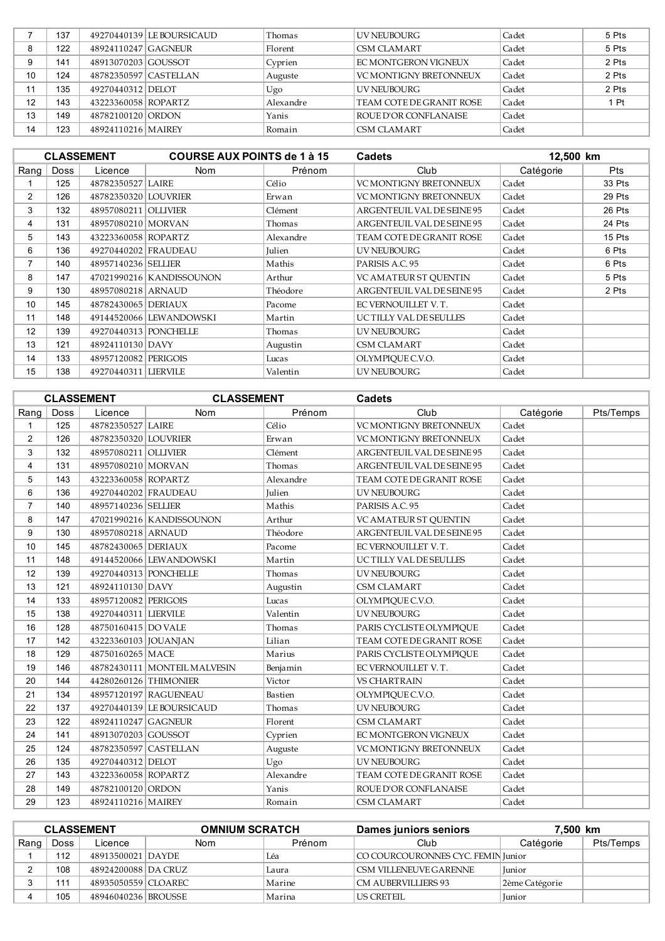|    | 137 |                       | 49270440139   LE BOURSICAUD | Thomas    | UV NEUBOURG                   | Cadet | 5 Pts |
|----|-----|-----------------------|-----------------------------|-----------|-------------------------------|-------|-------|
| 8  | 122 | 48924110247 GAGNEUR   |                             | Florent   | <b>CSM CLAMART</b>            | Cadet | 5 Pts |
|    | 141 | 48913070203 GOUSSOT   |                             | Cyprien   | FC MONTGERON VIGNEUX          | Cadet | 2 Pts |
| 10 | 124 | 48782350597 CASTELLAN |                             | Auguste   | <b>VC MONTIGNY BRETONNEUX</b> | Cadet | 2 Pts |
| 11 | 135 | 49270440312 DELOT     |                             | Ugo       | <b>UV NEUBOURG</b>            | Cadet | 2 Pts |
| 12 | 143 | 43223360058 ROPARTZ   |                             | Alexandre | TEAM COTE DE GRANIT ROSE      | Cadet | 1 Pt  |
| 13 | 149 | 48782100120 ORDON     |                             | Yanis     | ROUE D'OR CONFLANAISE         | Cadet |       |
| 14 | 123 | 48924110216 MAIREY    |                             | Romain    | CSM CLAMART                   | Cadet |       |

|      |             | <b>CLASSEMENT</b>     | <b>COURSE AUX POINTS de 1 à 15</b> |               | Cadets                        | 12,500 km |            |
|------|-------------|-----------------------|------------------------------------|---------------|-------------------------------|-----------|------------|
| Rang | <b>Doss</b> | Licence               | <b>Nom</b>                         | Prénom        | Club                          | Catégorie | <b>Pts</b> |
|      | 125         | 48782350527 LAIRE     |                                    | Célio         | <b>VC MONTIGNY BRETONNEUX</b> | Cadet     | 33 Pts     |
| 2    | 126         | 48782350320 LOUVRIER  |                                    | Erwan         | <b>VC MONTIGNY BRETONNEUX</b> | Cadet     | 29 Pts     |
| 3    | 132         | 48957080211           | <b>OLLIVIER</b>                    | Clément       | ARGENTEUIL VAL DE SEINE 95    | Cadet     | 26 Pts     |
| 4    | 131         | 48957080210 MORVAN    |                                    | Thomas        | ARGENTEUIL VAL DE SEINE 95    | Cadet     | 24 Pts     |
| 5    | 143         | 43223360058 ROPARTZ   |                                    | Alexandre     | TEAM COTE DE GRANIT ROSE      | Cadet     | 15 Pts     |
| 6    | 136         | 49270440202 FRAUDEAU  |                                    | <b>Julien</b> | UV NEUBOURG                   | Cadet     | 6 Pts      |
| 7    | 140         | 48957140236 SELLIER   |                                    | Mathis        | PARISIS A.C. 95               | Cadet     | 6 Pts      |
| 8    | 147         |                       | 47021990216 KANDISSOUNON           | Arthur        | VC AMATEUR ST QUENTIN         | Cadet     | 5 Pts      |
| 9    | 130         | 48957080218 ARNAUD    |                                    | Théodore      | ARGENTEUIL VAL DE SEINE 95    | Cadet     | 2 Pts      |
| 10   | 145         | 48782430065 DERIAUX   |                                    | Pacome        | EC VERNOUILLET V.T.           | Cadet     |            |
| 11   | 148         |                       | 49144520066 LEWANDOWSKI            | Martin        | UC TILLY VAL DE SEULLES       | Cadet     |            |
| 12   | 139         | 49270440313 PONCHELLE |                                    | Thomas        | UV NEUBOURG                   | Cadet     |            |
| 13   | 121         | 48924110130 DAVY      |                                    | Augustin      | <b>CSM CLAMART</b>            | Cadet     |            |
| 14   | 133         | 48957120082 PERIGOIS  |                                    | Lucas         | OLYMPIOUE C.V.O.              | Cadet     |            |
| 15   | 138         | 49270440311 LIERVILE  |                                    | Valentin      | <b>UV NEUBOURG</b>            | Cadet     |            |

|                |      | <b>CLASSEMENT</b>      |                              | <b>CLASSEMENT</b><br><b>Cadets</b> |                               |           |           |
|----------------|------|------------------------|------------------------------|------------------------------------|-------------------------------|-----------|-----------|
| Rang           | Doss | Licence                | <b>Nom</b>                   | Prénom                             | Club                          | Catégorie | Pts/Temps |
| 1              | 125  | 48782350527 LAIRE      |                              | Célio                              | VC MONTIGNY BRETONNEUX        | Cadet     |           |
| $\overline{2}$ | 126  | 48782350320 LOUVRIER   |                              | Erwan                              | VC MONTIGNY BRETONNEUX        | Cadet     |           |
| 3              | 132  | 48957080211 OLLIVIER   |                              | Clément                            | ARGENTEUIL VAL DE SEINE 95    | Cadet     |           |
| 4              | 131  | 48957080210 MORVAN     |                              | Thomas                             | ARGENTEUIL VAL DE SEINE 95    | Cadet     |           |
| 5              | 143  | 43223360058 ROPARTZ    |                              | Alexandre                          | TEAM COTE DE GRANIT ROSE      | Cadet     |           |
| 6              | 136  | 49270440202 FRAUDEAU   |                              | Julien                             | UV NEUBOURG                   | Cadet     |           |
| $\overline{7}$ | 140  | 48957140236 SELLIER    |                              | Mathis                             | PARISIS A.C. 95               | Cadet     |           |
| 8              | 147  |                        | 47021990216 KANDISSOUNON     | Arthur                             | VC AMATEUR ST OUENTIN         | Cadet     |           |
| 9              | 130  | 48957080218 ARNAUD     |                              | Théodore                           | ARGENTEUIL VAL DE SEINE 95    | Cadet     |           |
| 10             | 145  | 48782430065   DERIAUX  |                              | Pacome                             | EC VERNOUILLET V.T.           | Cadet     |           |
| 11             | 148  |                        | 49144520066 LEWANDOWSKI      | Martin                             | UC TILLY VAL DE SEULLES       | Cadet     |           |
| 12             | 139  | 49270440313 PONCHELLE  |                              | Thomas                             | <b>UV NEUBOURG</b>            | Cadet     |           |
| 13             | 121  | 48924110130 DAVY       |                              | Augustin                           | <b>CSM CLAMART</b>            | Cadet     |           |
| 14             | 133  | 48957120082 PERIGOIS   |                              | Lucas                              | OLYMPIQUE C.V.O.              | Cadet     |           |
| 15             | 138  | 49270440311 LIERVILE   |                              | Valentin                           | <b>UV NEUBOURG</b>            | Cadet     |           |
| 16             | 128  | 48750160415 DO VALE    |                              | Thomas                             | PARIS CYCLISTE OLYMPIQUE      | Cadet     |           |
| 17             | 142  | 43223360103   JOUANJAN |                              | Lilian                             | TEAM COTE DE GRANIT ROSE      | Cadet     |           |
| 18             | 129  | 48750160265 MACE       |                              | Marius                             | PARIS CYCLISTE OLYMPIOUE      | Cadet     |           |
| 19             | 146  |                        | 48782430111 MONTEIL MALVESIN | Benjamin                           | EC VERNOUILLET V.T.           | Cadet     |           |
| 20             | 144  | 44280260126 THIMONIER  |                              | Victor                             | <b>VS CHARTRAIN</b>           | Cadet     |           |
| 21             | 134  |                        | 48957120197 RAGUENEAU        | Bastien                            | OLYMPIQUE C.V.O.              | Cadet     |           |
| 22             | 137  |                        | 49270440139 LE BOURSICAUD    | Thomas                             | <b>UV NEUBOURG</b>            | Cadet     |           |
| 23             | 122  | 48924110247 GAGNEUR    |                              | Florent                            | <b>CSM CLAMART</b>            | Cadet     |           |
| 24             | 141  | 48913070203 GOUSSOT    |                              | Cyprien                            | EC MONTGERON VIGNEUX          | Cadet     |           |
| 25             | 124  | 48782350597 CASTELLAN  |                              | Auguste                            | <b>VC MONTIGNY BRETONNEUX</b> | Cadet     |           |
| 26             | 135  | 49270440312 DELOT      |                              | Ugo                                | <b>UV NEUBOURG</b>            | Cadet     |           |
| 27             | 143  | 43223360058 ROPARTZ    |                              | Alexandre                          | TEAM COTE DE GRANIT ROSE      | Cadet     |           |
| 28             | 149  | 48782100120 ORDON      |                              | Yanis                              | ROUE D'OR CONFLANAISE         | Cadet     |           |
| 29             | 123  | 48924110216   MAIREY   |                              | Romain                             | <b>CSM CLAMART</b>            | Cadet     |           |

| <b>CLASSEMENT</b> |      |                     | <b>OMNIUM SCRATCH</b> |        | Dames juniors seniors              |                | 7,500 km  |  |
|-------------------|------|---------------------|-----------------------|--------|------------------------------------|----------------|-----------|--|
| Rang              | Doss | Licence             | Nom                   | Prénom | Club                               | Catégorie      | Pts/Temps |  |
|                   | 112  | 48913500021 DAYDE   |                       | Léa    | CO COURCOURONNES CYC. FEMIN Junior |                |           |  |
|                   | 108  | 48924200088 DA CRUZ |                       | Laura  | CSM VILLENEUVE GARENNE             | Junior         |           |  |
|                   | 111  | 48935050559 CLOAREC |                       | Marine | <b>CM AUBERVILLIERS 93</b>         | 2ème Catégorie |           |  |
|                   | 105  | 48946040236 BROUSSE |                       | Marina | US CRETEIL                         | Junior         |           |  |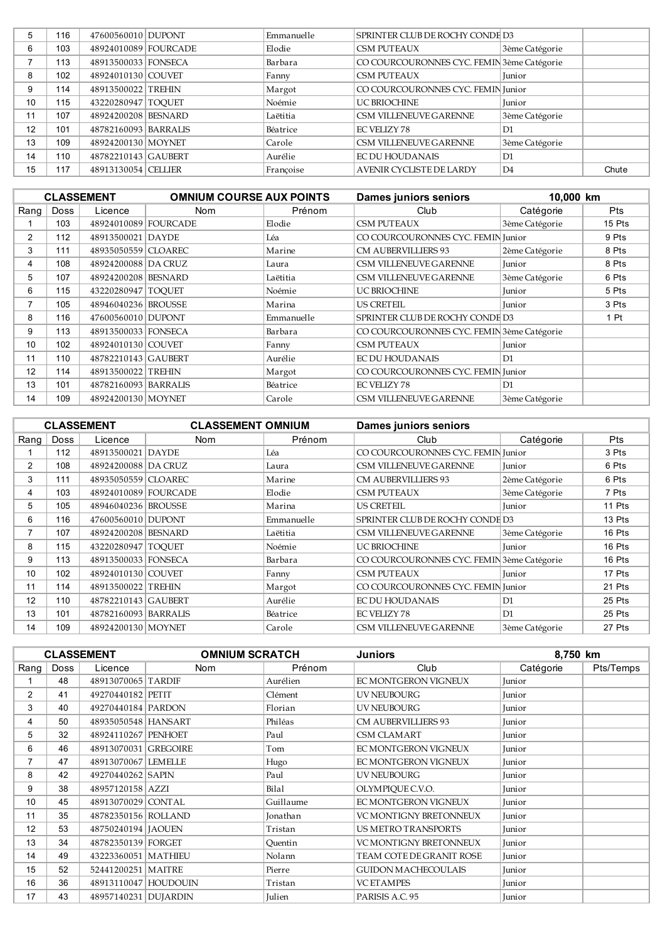|    | 116 | 47600560010 DUPONT   | Emmanuelle | SPRINTER CLUB DE ROCHY CONDE D3            |                |       |
|----|-----|----------------------|------------|--------------------------------------------|----------------|-------|
| 6  | 103 | 48924010089 FOURCADE | Elodie     | <b>CSM PUTEAUX</b>                         | 3ème Catégorie |       |
|    | 113 | 48913500033 FONSECA  | Barbara    | CO COURCOURONNES CYC. FEMIN 3ème Catégorie |                |       |
| 8  | 102 | 48924010130 COUVET   | Fanny      | <b>CSM PUTEAUX</b>                         | <b>Iunior</b>  |       |
| 9  | 114 | 48913500022 TREHIN   | Margot     | CO COURCOURONNES CYC. FEMIN Junior         |                |       |
| 10 | 115 | 43220280947 TOOUET   | Noémie     | <b>UC BRIOCHINE</b>                        | <b>Iunior</b>  |       |
| 11 | 107 | 48924200208 BESNARD  | Laëtitia   | CSM VILLENEUVE GARENNE                     | 3ème Catégorie |       |
| 12 | 101 | 48782160093 BARRALIS | Béatrice   | <b>EC VELIZY 78</b>                        | D1             |       |
| 13 | 109 | 48924200130 MOYNET   | Carole     | CSM VILLENEUVE GARENNE                     | 3ème Catégorie |       |
| 14 | 110 | 48782210143 GAUBERT  | Aurélie    | <b>EC DU HOUDANAIS</b>                     | D1             |       |
| 15 | 117 | 48913130054 CELLIER  | Francoise  | AVENIR CYCLISTE DE LARDY                   | D <sub>4</sub> | Chute |

|                |             | <b>CLASSEMENT</b>    | <b>OMNIUM COURSE AUX POINTS</b> |            | <b>Dames juniors seniors</b>               | 10,000 km      |            |
|----------------|-------------|----------------------|---------------------------------|------------|--------------------------------------------|----------------|------------|
| Rang           | <b>Doss</b> | Licence              | <b>Nom</b>                      | Prénom     | Club                                       | Catégorie      | <b>Pts</b> |
|                | 103         | 48924010089 FOURCADE |                                 | Elodie     | <b>CSM PUTEAUX</b>                         | 3ème Catégorie | 15 Pts     |
| $\overline{2}$ | 112         | 48913500021 DAYDE    |                                 | Léa        | CO COURCOURONNES CYC. FEMIN Junior         |                | 9 Pts      |
| 3              | 111         | 48935050559 CLOAREC  |                                 | Marine     | CM AUBERVILLIERS 93                        | 2ème Catégorie | 8 Pts      |
| 4              | 108         | 48924200088 DA CRUZ  |                                 | Laura      | CSM VILLENEUVE GARENNE                     | Junior         | 8 Pts      |
| 5              | 107         | 48924200208 BESNARD  |                                 | Laëtitia   | CSM VILLENEUVE GARENNE                     | 3ème Catégorie | 6 Pts      |
| 6              | 115         | 43220280947   TOOUET |                                 | Noémie     | <b>UC BRIOCHINE</b>                        | Junior         | 5 Pts      |
|                | 105         | 48946040236 BROUSSE  |                                 | Marina     | <b>US CRETEIL</b>                          | Junior         | 3 Pts      |
| 8              | 116         | 47600560010 DUPONT   |                                 | Emmanuelle | SPRINTER CLUB DE ROCHY CONDE D3            |                | 1 Pt       |
| 9              | 113         | 48913500033 FONSECA  |                                 | Barbara    | CO COURCOURONNES CYC. FEMIN 3ème Catégorie |                |            |
| 10             | 102         | 48924010130 COUVET   |                                 | Fanny      | CSM PUTEAUX                                | Junior         |            |
| 11             | 110         | 48782210143 GAUBERT  |                                 | Aurélie    | EC DU HOUDANAIS                            | D1             |            |
| 12             | 114         | 48913500022 TREHIN   |                                 | Margot     | CO COURCOURONNES CYC. FEMIN Junior         |                |            |
| 13             | 101         | 48782160093 BARRALIS |                                 | Béatrice   | <b>EC VELIZY 78</b>                        | D <sub>1</sub> |            |
| 14             | 109         | 48924200130 MOYNET   |                                 | Carole     | CSM VILLENEUVE GARENNE                     | 3ème Catégorie |            |

|      | <b>CLASSEMENT OMNIUM</b><br><b>CLASSEMENT</b> |                      |              |            | <b>Dames juniors seniors</b>               |                |            |
|------|-----------------------------------------------|----------------------|--------------|------------|--------------------------------------------|----------------|------------|
| Rang | <b>Doss</b>                                   | Licence              | Nom          | Prénom     | Club                                       | Catégorie      | <b>Pts</b> |
|      | 112                                           | 48913500021          | <b>DAYDE</b> | Léa        | CO COURCOURONNES CYC. FEMIN Junior         |                | 3 Pts      |
| 2    | 108                                           | 48924200088 DA CRUZ  |              | Laura      | CSM VILLENEUVE GARENNE                     | Junior         | 6 Pts      |
| 3    | 111                                           | 48935050559 CLOAREC  |              | Marine     | CM AUBERVILLIERS 93                        | 2ème Catégorie | 6 Pts      |
| 4    | 103                                           | 48924010089 FOURCADE |              | Elodie     | <b>CSM PUTEAUX</b>                         | 3ème Catégorie | 7 Pts      |
| 5    | 105                                           | 48946040236 BROUSSE  |              | Marina     | <b>US CRETEIL</b>                          | Junior         | 11 Pts     |
| 6    | 116                                           | 47600560010 DUPONT   |              | Emmanuelle | SPRINTER CLUB DE ROCHY CONDE D3            |                | 13 Pts     |
| 7    | 107                                           | 48924200208 BESNARD  |              | Laëtitia   | CSM VILLENEUVE GARENNE                     | 3ème Catégorie | 16 Pts     |
| 8    | 115                                           | 43220280947 TOOUET   |              | Noémie     | UC BRIOCHINE                               | <b>Iunior</b>  | 16 Pts     |
| 9    | 113                                           | 48913500033 FONSECA  |              | Barbara    | CO COURCOURONNES CYC. FEMIN 3ème Catégorie |                | 16 Pts     |
| 10   | 102                                           | 48924010130 COUVET   |              | Fanny      | <b>CSM PUTEAUX</b>                         | <b>Iunior</b>  | 17 Pts     |
| 11   | 114                                           | 48913500022 TREHIN   |              | Margot     | CO COURCOURONNES CYC. FEMIN Junior         |                | 21 Pts     |
| 12   | 110                                           | 48782210143 GAUBERT  |              | Aurélie    | <b>EC DU HOUDANAIS</b>                     | D1             | 25 Pts     |
| 13   | 101                                           | 48782160093 BARRALIS |              | Béatrice   | <b>EC VELIZY 78</b>                        | D1             | 25 Pts     |
| 14   | 109                                           | 48924200130 MOYNET   |              | Carole     | CSM VILLENEUVE GARENNE                     | 3ème Catégorie | 27 Pts     |

|                |             | <b>CLASSEMENT</b>    | <b>OMNIUM SCRATCH</b> |           | Juniors                       |           | 8,750 km  |  |
|----------------|-------------|----------------------|-----------------------|-----------|-------------------------------|-----------|-----------|--|
| Rang           | <b>Doss</b> | Licence              | <b>Nom</b>            | Prénom    | Club                          | Catégorie | Pts/Temps |  |
|                | 48          | 48913070065 TARDIF   |                       | Aurélien  | EC MONTGERON VIGNEUX          | Junior    |           |  |
| $\overline{2}$ | 41          | 49270440182 PETIT    |                       | Clément   | UV NEUBOURG                   | Junior    |           |  |
| 3              | 40          | 49270440184 PARDON   |                       | Florian   | <b>UV NEUBOURG</b>            | Junior    |           |  |
| 4              | 50          | 48935050548 HANSART  |                       | Philéas   | <b>CM AUBERVILLIERS 93</b>    | Junior    |           |  |
| 5              | 32          | 48924110267 PENHOET  |                       | Paul      | <b>CSM CLAMART</b>            | Junior    |           |  |
| 6              | 46          | 48913070031 GREGOIRE |                       | Tom       | EC MONTGERON VIGNEUX          | Junior    |           |  |
| 7              | 47          | 48913070067 LEMELLE  |                       | Hugo      | EC MONTGERON VIGNEUX          | Junior    |           |  |
| 8              | 42          | 49270440262 SAPIN    |                       | Paul      | UV NEUBOURG                   | Junior    |           |  |
| 9              | 38          | 48957120158 AZZI     |                       | Bilal     | OLYMPIOUE C.V.O.              | Junior    |           |  |
| 10             | 45          | 48913070029 CONTAL   |                       | Guillaume | EC MONTGERON VIGNEUX          | Junior    |           |  |
| 11             | 35          | 48782350156 ROLLAND  |                       | Jonathan  | VC MONTIGNY BRETONNEUX        | Junior    |           |  |
| 12             | 53          | 48750240194   JAOUEN |                       | Tristan   | US METRO TRANSPORTS           | Junior    |           |  |
| 13             | 34          | 48782350139 FORGET   |                       | Ouentin   | <b>VC MONTIGNY BRETONNEUX</b> | Junior    |           |  |
| 14             | 49          | 43223360051 MATHIEU  |                       | Nolann    | TEAM COTE DE GRANIT ROSE      | Junior    |           |  |
| 15             | 52          | 52441200251   MAITRE |                       | Pierre    | <b>GUIDON MACHECOULAIS</b>    | Junior    |           |  |
| 16             | 36          | 48913110047 HOUDOUIN |                       | Tristan   | <b>VC ETAMPES</b>             | Junior    |           |  |
| 17             | 43          | 48957140231 DUJARDIN |                       | Julien    | PARISIS A.C. 95               | Junior    |           |  |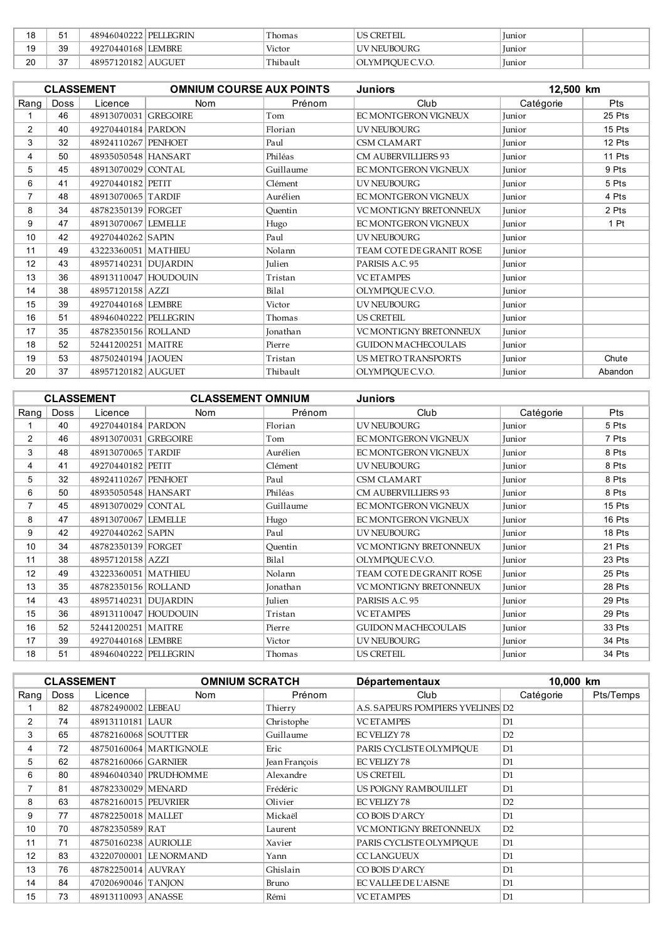| 1 ດ<br>c       | 5.          | 48946040222 PELLEGRIN | Thomas   | <b>US CRETEIL</b> | Junior        |  |
|----------------|-------------|-----------------------|----------|-------------------|---------------|--|
| 19             | 39          | 49270440168 LEMBRE    | Victor   | UV NEUBOURG       | <i>lunior</i> |  |
| $\Omega$<br>4. | $\sim$<br>ັ | 48957120182 AUGUET    | Thibault | OLYMPIOUE C.V.O.  | Junior        |  |

|                |             | <b>CLASSEMENT</b>     | <b>OMNIUM COURSE AUX POINTS</b> |           | <b>Juniors</b>             | 12,500 km     |            |
|----------------|-------------|-----------------------|---------------------------------|-----------|----------------------------|---------------|------------|
| Rang           | <b>Doss</b> | Licence               | <b>Nom</b>                      | Prénom    | Club                       | Catégorie     | <b>Pts</b> |
|                | 46          | 48913070031 GREGOIRE  |                                 | Tom       | EC MONTGERON VIGNEUX       | <b>Iunior</b> | 25 Pts     |
| $\overline{2}$ | 40          | 49270440184 PARDON    |                                 | Florian   | <b>UV NEUBOURG</b>         | <b>Iunior</b> | 15 Pts     |
| 3              | 32          | 48924110267 PENHOET   |                                 | Paul      | CSM CLAMART                | Junior        | 12 Pts     |
| 4              | 50          | 48935050548 HANSART   |                                 | Philéas   | <b>CM AUBERVILLIERS 93</b> | Junior        | 11 Pts     |
| 5              | 45          | 48913070029 CONTAL    |                                 | Guillaume | EC MONTGERON VIGNEUX       | Junior        | 9 Pts      |
| 6              | 41          | 49270440182 PETIT     |                                 | Clément   | UV NEUBOURG                | Junior        | 5 Pts      |
| $\overline{7}$ | 48          | 48913070065 TARDIF    |                                 | Aurélien  | EC MONTGERON VIGNEUX       | Junior        | 4 Pts      |
| 8              | 34          | 48782350139 FORGET    |                                 | Ouentin   | VC MONTIGNY BRETONNEUX     | Junior        | 2 Pts      |
| 9              | 47          | 48913070067 LEMELLE   |                                 | Hugo      | EC MONTGERON VIGNEUX       | Junior        | 1 Pt       |
| 10             | 42          | 49270440262 SAPIN     |                                 | Paul      | <b>UV NEUBOURG</b>         | Junior        |            |
| 11             | 49          | 43223360051   MATHIEU |                                 | Nolann    | TEAM COTE DE GRANIT ROSE   | <b>Iunior</b> |            |
| 12             | 43          | 48957140231 DUJARDIN  |                                 | Julien    | PARISIS A.C. 95            | Junior        |            |
| 13             | 36          | 48913110047 HOUDOUIN  |                                 | Tristan   | <b>VC ET AMPES</b>         | Junior        |            |
| 14             | 38          | 48957120158 AZZI      |                                 | Bilal     | OLYMPIQUE C.V.O.           | Junior        |            |
| 15             | 39          | 49270440168 LEMBRE    |                                 | Victor    | <b>UV NEUBOURG</b>         | Junior        |            |
| 16             | 51          | 48946040222 PELLEGRIN |                                 | Thomas    | <b>US CRETEIL</b>          | Junior        |            |
| 17             | 35          | 48782350156 ROLLAND   |                                 | Jonathan  | VC MONTIGNY BRETONNEUX     | Junior        |            |
| 18             | 52          | 52441200251 MAITRE    |                                 | Pierre    | <b>GUIDON MACHECOULAIS</b> | Junior        |            |
| 19             | 53          | 48750240194 JAOUEN    |                                 | Tristan   | US METRO TRANSPORTS        | Junior        | Chute      |
| 20             | 37          | 48957120182 AUGUET    |                                 | Thibault  | OLYMPIOUE C.V.O.           | Junior        | Abandon    |

|                |             | <b>CLASSEMENT</b>     | <b>CLASSEMENT OMNIUM</b> |           | <b>Juniors</b>                |           |            |
|----------------|-------------|-----------------------|--------------------------|-----------|-------------------------------|-----------|------------|
| Rang           | <b>Doss</b> | Licence               | <b>Nom</b>               | Prénom    | Club                          | Catégorie | <b>Pts</b> |
|                | 40          | 49270440184 PARDON    |                          | Florian   | UV NEUBOURG                   | Junior    | 5 Pts      |
| $\overline{2}$ | 46          | 48913070031 GREGOIRE  |                          | Tom       | EC MONTGERON VIGNEUX          | Junior    | 7 Pts      |
| 3              | 48          | 48913070065 TARDIF    |                          | Aurélien  | EC MONTGERON VIGNEUX          | Junior    | 8 Pts      |
| 4              | 41          | 49270440182 PETIT     |                          | Clément   | UV NEUBOURG                   | Junior    | 8 Pts      |
| 5              | 32          | 48924110267 PENHOET   |                          | Paul      | <b>CSM CLAMART</b>            | Junior    | 8 Pts      |
| 6              | 50          | 48935050548 HANSART   |                          | Philéas   | <b>CM AUBERVILLIERS 93</b>    | Junior    | 8 Pts      |
| 7              | 45          | 48913070029 CONTAL    |                          | Guillaume | EC MONTGERON VIGNEUX          | Junior    | 15 Pts     |
| 8              | 47          | 48913070067 LEMELLE   |                          | Hugo      | EC MONTGERON VIGNEUX          | Junior    | 16 Pts     |
| 9              | 42          | 49270440262 SAPIN     |                          | Paul      | UV NEUBOURG                   | Junior    | 18 Pts     |
| 10             | 34          | 48782350139 FORGET    |                          | Quentin   | <b>VC MONTIGNY BRETONNEUX</b> | Junior    | 21 Pts     |
| 11             | 38          | 48957120158 AZZI      |                          | Bilal     | OLYMPIQUE C.V.O.              | Junior    | 23 Pts     |
| 12             | 49          | 43223360051   MATHIEU |                          | Nolann    | TEAM COTE DE GRANIT ROSE      | Junior    | 25 Pts     |
| 13             | 35          | 48782350156 ROLLAND   |                          | Jonathan  | <b>VC MONTIGNY BRETONNEUX</b> | Junior    | 28 Pts     |
| 14             | 43          | 48957140231 DUJARDIN  |                          | Julien    | PARISIS A.C. 95               | Junior    | 29 Pts     |
| 15             | 36          | 48913110047 HOUDOUIN  |                          | Tristan   | <b>VC ET AMPES</b>            | Junior    | 29 Pts     |
| 16             | 52          | 52441200251   MAITRE  |                          | Pierre    | <b>GUIDON MACHECOULAIS</b>    | Junior    | 33 Pts     |
| 17             | 39          | 49270440168 LEMBRE    |                          | Victor    | UV NEUBOURG                   | Junior    | 34 Pts     |
| 18             | 51          | 48946040222 PELLEGRIN |                          | Thomas    | <b>US CRETEIL</b>             | Junior    | 34 Pts     |

|                 |      | <b>CLASSEMENT</b>    | <b>OMNIUM SCRATCH</b>    |               | 10,000 km<br><b>Départementaux</b> |                |           |
|-----------------|------|----------------------|--------------------------|---------------|------------------------------------|----------------|-----------|
| Rang            | Doss | Licence              | <b>Nom</b>               | Prénom        | Club                               | Catégorie      | Pts/Temps |
|                 | 82   | 48782490002 LEBEAU   |                          | Thierry       | A.S. SAPEURS POMPIERS YVELINES D2  |                |           |
| $\overline{2}$  | 74   | 48913110181 LAUR     |                          | Christophe    | <b>VC ET AMPES</b>                 | D <sub>1</sub> |           |
| 3               | 65   | 48782160068 SOUTTER  |                          | Guillaume     | EC VELIZY 78                       | D2             |           |
| 4               | 72   |                      | 48750160064   MARTIGNOLE | Eric          | PARIS CYCLISTE OLYMPIOUE           | D1             |           |
| 5               | 62   | 48782160066 GARNIER  |                          | Jean Francois | EC VELIZY 78                       | D1             |           |
| 6               | 80   |                      | 48946040340 PRUDHOMME    | Alexandre     | US CRETEIL                         | D1             |           |
| 7               | 81   | 48782330029 MENARD   |                          | Frédéric      | US POIGNY RAMBOUILLET              | D1             |           |
| 8               | 63   | 48782160015 PEUVRIER |                          | Olivier       | EC VELIZY 78                       | D2             |           |
| 9               | 77   | 48782250018   MALLET |                          | Mickaël       | CO BOIS D'ARCY                     | D1             |           |
| 10              | 70   | 48782350589 RAT      |                          | Laurent       | <b>VC MONTIGNY BRETONNEUX</b>      | D2             |           |
| 11              | 71   | 48750160238 AURIOLLE |                          | Xavier        | PARIS CYCLISTE OLYMPIOUE           | D1             |           |
| 12 <sup>2</sup> | 83   |                      | 43220700001 LE NORMAND   | Yann          | <b>CC LANGUEUX</b>                 | D <sub>1</sub> |           |
| 13              | 76   | 48782250014 AUVRAY   |                          | Ghislain      | CO BOIS D'ARCY                     | D <sub>1</sub> |           |
| 14              | 84   | 47020690046 TANJON   |                          | Bruno         | <b>EC VALLEE DE L'AISNE</b>        | D1             |           |
| 15              | 73   | 48913110093 ANASSE   |                          | Rémi          | <b>VC ETAMPES</b>                  | D1             |           |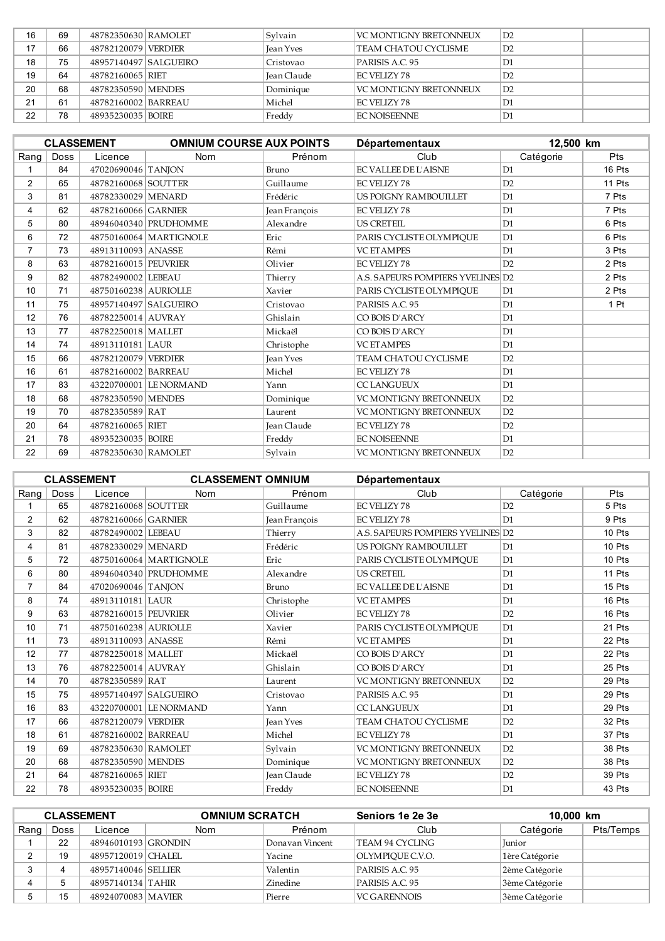| 16 | 69 | 48782350630 RAMOLET   | Sylvain            | VC MONTIGNY BRETONNEUX | D2              |  |
|----|----|-----------------------|--------------------|------------------------|-----------------|--|
| 17 | 66 | 48782120079 VERDIER   | <b>Jean Yves</b>   | TEAM CHATOU CYCLISME   | D2              |  |
| 18 | 75 | 48957140497 SALGUEIRO | Cristovao          | PARISIS A.C. 95        | D1              |  |
| 19 | 64 | 48782160065 RIET      | <b>Jean Claude</b> | FC VELIZY 78           | D2              |  |
| 20 | 68 | 48782350590 MENDES    | Dominique          | VC MONTIGNY BRETONNEUX | $\overline{D2}$ |  |
| 21 | 61 | 48782160002 BARREAU   | Michel             | FC VELIZY 78           | D1              |  |
| 22 | 78 | 48935230035 BOIRE     | Freddy             | <b>FC NOISEENNE</b>    | D1              |  |

|                |             | <b>CLASSEMENT</b>     | <b>OMNIUM COURSE AUX POINTS</b> |               | <b>Départementaux</b>             | 12,500 km      |        |  |
|----------------|-------------|-----------------------|---------------------------------|---------------|-----------------------------------|----------------|--------|--|
| Rang           | <b>Doss</b> | Licence               | Nom                             | Prénom        | Club                              | Catégorie      | Pts    |  |
|                | 84          | 47020690046 TANJON    |                                 | <b>Bruno</b>  | <b>EC VALLEE DE L'AISNE</b>       | D1             | 16 Pts |  |
| $\overline{2}$ | 65          | 48782160068 SOUTTER   |                                 | Guillaume     | <b>EC VELIZY 78</b>               | D2             | 11 Pts |  |
| 3              | 81          | 48782330029 MENARD    |                                 | Frédéric      | <b>US POIGNY RAMBOUILLET</b>      | D <sub>1</sub> | 7 Pts  |  |
| 4              | 62          | 48782160066 GARNIER   |                                 | Jean François | <b>EC VELIZY 78</b>               | D <sub>1</sub> | 7 Pts  |  |
| 5              | 80          |                       | 48946040340 PRUDHOMME           | Alexandre     | <b>US CRETEIL</b>                 | D <sub>1</sub> | 6 Pts  |  |
| 6              | 72          |                       | 48750160064 MARTIGNOLE          | Eric          | PARIS CYCLISTE OLYMPIQUE          | D1             | 6 Pts  |  |
| $\overline{7}$ | 73          | 48913110093 ANASSE    |                                 | Rémi          | <b>VC ETAMPES</b>                 | D1             | 3 Pts  |  |
| 8              | 63          | 48782160015 PEUVRIER  |                                 | Olivier       | <b>EC VELIZY 78</b>               | D <sub>2</sub> | 2 Pts  |  |
| 9              | 82          | 48782490002 LEBEAU    |                                 | Thierry       | A.S. SAPEURS POMPIERS YVELINES D2 |                | 2 Pts  |  |
| 10             | 71          | 48750160238 AURIOLLE  |                                 | Xavier        | PARIS CYCLISTE OLYMPIQUE          | D1             | 2 Pts  |  |
| 11             | 75          | 48957140497 SALGUEIRO |                                 | Cristovao     | PARISIS A.C. 95                   | D1             | 1 Pt   |  |
| 12             | 76          | 48782250014 AUVRAY    |                                 | Ghislain      | CO BOIS D'ARCY                    | D1             |        |  |
| 13             | 77          | 48782250018 MALLET    |                                 | Mickaël       | CO BOIS D'ARCY                    | D1             |        |  |
| 14             | 74          | 48913110181 LAUR      |                                 | Christophe    | <b>VC ET AMPES</b>                | D1             |        |  |
| 15             | 66          | 48782120079 VERDIER   |                                 | Jean Yves     | <b>TEAM CHATOU CYCLISME</b>       | D2             |        |  |
| 16             | 61          | 48782160002 BARREAU   |                                 | Michel        | <b>EC VELIZY 78</b>               | D1             |        |  |
| 17             | 83          |                       | 43220700001 LE NORMAND          | Yann          | <b>CCLANGUEUX</b>                 | D1             |        |  |
| 18             | 68          | 48782350590 MENDES    |                                 | Dominique     | <b>VC MONTIGNY BRETONNEUX</b>     | D2             |        |  |
| 19             | 70          | 48782350589 RAT       |                                 | Laurent       | VC MONTIGNY BRETONNEUX            | D2             |        |  |
| 20             | 64          | 48782160065 RIET      |                                 | Jean Claude   | <b>EC VELIZY 78</b>               | D2             |        |  |
| 21             | 78          | 48935230035   BOIRE   |                                 | Freddy        | <b>EC NOISEENNE</b>               | D1             |        |  |
| 22             | 69          | 48782350630 RAMOLET   |                                 | Svlvain       | <b>VC MONTIGNY BRETONNEUX</b>     | D2             |        |  |

| <b>CLASSEMENT</b> |             |                       | <b>CLASSEMENT OMNIUM</b> |                    | <b>Départementaux</b>             |                |        |
|-------------------|-------------|-----------------------|--------------------------|--------------------|-----------------------------------|----------------|--------|
| Rang              | <b>Doss</b> | Licence               | <b>Nom</b>               | Prénom             | Club                              | Catégorie      | Pts    |
|                   | 65          | 48782160068 SOUTTER   |                          | Guillaume          | <b>EC VELIZY 78</b>               | D2             | 5 Pts  |
| $\overline{2}$    | 62          | 48782160066 GARNIER   |                          | Jean Francois      | <b>EC VELIZY 78</b>               | D1             | 9 Pts  |
| 3                 | 82          | 48782490002 LEBEAU    |                          | Thierry            | A.S. SAPEURS POMPIERS YVELINES D2 |                | 10 Pts |
| 4                 | 81          | 48782330029 MENARD    |                          | Frédéric           | US POIGNY RAMBOUILLET             | D <sub>1</sub> | 10 Pts |
| 5                 | 72          |                       | 48750160064 MARTIGNOLE   | Eric               | PARIS CYCLISTE OLYMPIOUE          | D1             | 10 Pts |
| 6                 | 80          |                       | 48946040340 PRUDHOMME    | Alexandre          | <b>US CRETEIL</b>                 | D1             | 11 Pts |
| $\overline{7}$    | 84          | 47020690046 TANJON    |                          | Bruno              | <b>EC VALLEE DE L'AISNE</b>       | D1             | 15 Pts |
| 8                 | 74          | 48913110181 LAUR      |                          | Christophe         | <b>VC ETAMPES</b>                 | D1             | 16 Pts |
| 9                 | 63          | 48782160015 PEUVRIER  |                          | Olivier            | <b>EC VELIZY 78</b>               | D2             | 16 Pts |
| 10 <sup>1</sup>   | 71          | 48750160238 AURIOLLE  |                          | Xavier             | PARIS CYCLISTE OLYMPIOUE          | D <sub>1</sub> | 21 Pts |
| 11                | 73          | 48913110093 ANASSE    |                          | Rémi               | <b>VC ETAMPES</b>                 | D <sub>1</sub> | 22 Pts |
| 12                | 77          | 48782250018 MALLET    |                          | Mickaël            | CO BOIS D'ARCY                    | D1             | 22 Pts |
| 13                | 76          | 48782250014 AUVRAY    |                          | Ghislain           | CO BOIS D'ARCY                    | D <sub>1</sub> | 25 Pts |
| 14                | 70          | 48782350589 RAT       |                          | Laurent            | <b>VC MONTIGNY BRETONNEUX</b>     | D2             | 29 Pts |
| 15                | 75          | 48957140497 SALGUEIRO |                          | Cristovao          | PARISIS A.C. 95                   | D <sub>1</sub> | 29 Pts |
| 16                | 83          |                       | 43220700001 LE NORMAND   | Yann               | <b>CCLANGUEUX</b>                 | D1             | 29 Pts |
| 17                | 66          | 48782120079 VERDIER   |                          | <b>Jean Yves</b>   | TEAM CHATOU CYCLISME              | D2             | 32 Pts |
| 18                | 61          | 48782160002 BARREAU   |                          | Michel             | <b>EC VELIZY 78</b>               | D1             | 37 Pts |
| 19                | 69          | 48782350630 RAMOLET   |                          | Sylvain            | VC MONTIGNY BRETONNEUX            | D2             | 38 Pts |
| 20                | 68          | 48782350590 MENDES    |                          | Dominique          | <b>VC MONTIGNY BRETONNEUX</b>     | D2             | 38 Pts |
| 21                | 64          | 48782160065 RIET      |                          | <b>Jean Claude</b> | <b>EC VELIZY 78</b>               | D2             | 39 Pts |
| 22                | 78          | 48935230035   BOIRE   |                          | Freddy             | <b>EC NOISEENNE</b>               | D1             | 43 Pts |

| <b>CLASSEMENT</b> |      |                     | <b>OMNIUM SCRATCH</b> |                 | Seniors 1e 2e 3e    | 10,000 km      |           |
|-------------------|------|---------------------|-----------------------|-----------------|---------------------|----------------|-----------|
| Rang              | Doss | Licence             | <b>Nom</b>            | Prénom          | Club                | Catégorie      | Pts/Temps |
|                   | 22   | 48946010193 GRONDIN |                       | Donavan Vincent | TEAM 94 CYCLING     | <b>Iunior</b>  |           |
|                   | 19   | 48957120019 CHALEL  |                       | Yacine          | OLYMPIOUE C.V.O.    | 1ère Catégorie |           |
|                   | 4    | 48957140046 SELLIER |                       | Valentin        | PARISIS A.C. 95     | 2ème Catégorie |           |
| 4                 |      | 48957140134 TAHIR   |                       | Zinedine        | PARISIS A.C. 95     | 3ème Catégorie |           |
|                   | 15   | 48924070083 MAVIER  |                       | Pierre          | <b>VC GARENNOIS</b> | 3ème Catégorie |           |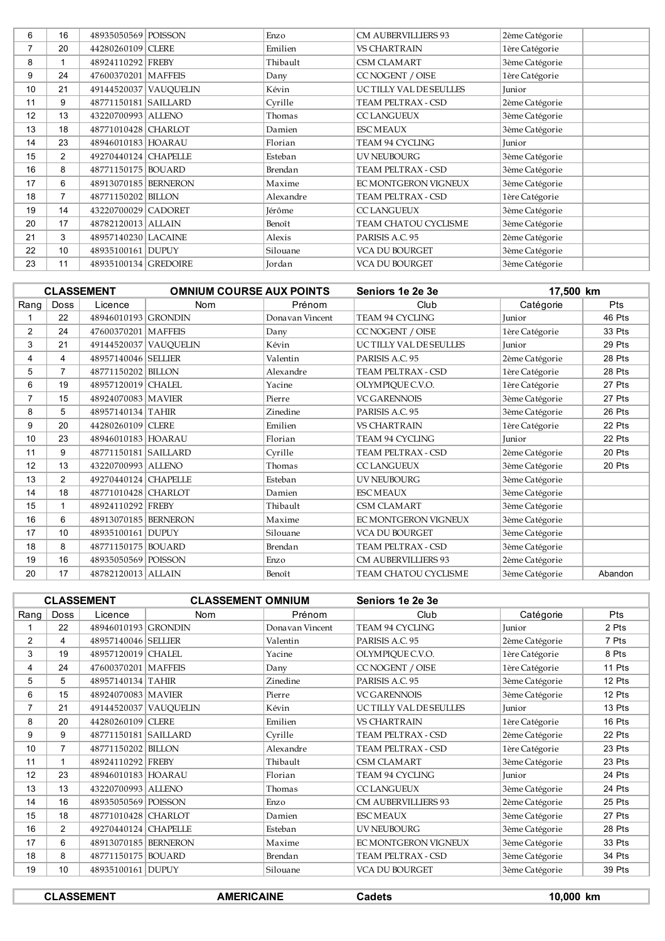| 6              | 16             | 48935050569 POISSON   |                       | Enzo      | <b>CM AUBERVILLIERS 93</b> | 2ème Catégorie |
|----------------|----------------|-----------------------|-----------------------|-----------|----------------------------|----------------|
| $\overline{7}$ | 20             | 44280260109 CLERE     |                       | Emilien   | <b>VS CHARTRAIN</b>        | 1ère Catégorie |
| 8              |                | 48924110292 FREBY     |                       | Thibault  | CSM CLAMART                | 3ème Catégorie |
| 9              | 24             | 47600370201   MAFFEIS |                       | Dany      | CC NOGENT / OISE           | 1ère Catégorie |
| 10             | 21             |                       | 49144520037 VAUQUELIN | Kévin     | UCTILLY VAL DE SEULLES     | Junior         |
| 11             | 9              | 48771150181 SAILLARD  |                       | Cyrille   | TEAM PELTRAX - CSD         | 2ème Catégorie |
| 12             | 13             | 43220700993 ALLENO    |                       | Thomas    | <b>CCLANGUEUX</b>          | 3ème Catégorie |
| 13             | 18             | 48771010428 CHARLOT   |                       | Damien    | <b>ESC MEAUX</b>           | 3ème Catégorie |
| 14             | 23             | 48946010183 HOARAU    |                       | Florian   | TEAM 94 CYCLING            | Junior         |
| 15             | 2              | 49270440124 CHAPELLE  |                       | Esteban   | UV NEUBOURG                | 3ème Catégorie |
| 16             | 8              | 48771150175 BOUARD    |                       | Brendan   | TEAM PELTRAX - CSD         | 3ème Catégorie |
| 17             | 6              | 48913070185 BERNERON  |                       | Maxime    | EC MONTGERON VIGNEUX       | 3ème Catégorie |
| 18             | $\overline{7}$ | 48771150202 BILLON    |                       | Alexandre | TEAM PELTRAX - CSD         | 1ère Catégorie |
| 19             | 14             | 43220700029 CADORET   |                       | Jérôme    | <b>CCLANGUEUX</b>          | 3ème Catégorie |
| 20             | 17             | 48782120013 ALLAIN    |                       | Benoît    | TEAM CHATOU CYCLISME       | 3ème Catégorie |
| 21             | 3              | 48957140230 LACAINE   |                       | Alexis    | PARISIS A.C. 95            | 2ème Catégorie |
| 22             | 10             | 48935100161 DUPUY     |                       | Silouane  | VCA DU BOURGET             | 3ème Catégorie |
| 23             | 11             | 48935100134 GREDOIRE  |                       | Jordan    | <b>VCA DU BOURGET</b>      | 3ème Catégorie |

| <b>CLASSEMENT</b> |                |                       | <b>OMNIUM COURSE AUX POINTS</b> |                 | Seniors 1e 2e 3e           | 17,500 km      |            |
|-------------------|----------------|-----------------------|---------------------------------|-----------------|----------------------------|----------------|------------|
| Rang              | <b>Doss</b>    | Licence               | Nom                             | Prénom          | Club                       | Catégorie      | <b>Pts</b> |
|                   | 22             | 48946010193 GRONDIN   |                                 | Donavan Vincent | TEAM 94 CYCLING            | Junior         | 46 Pts     |
| $\overline{2}$    | 24             | 47600370201   MAFFEIS |                                 | Dany            | <b>CC NOGENT / OISE</b>    | 1ère Catégorie | 33 Pts     |
| 3                 | 21             |                       | 49144520037 VAUQUELIN           | Kévin           | UC TILLY VAL DE SEULLES    | Junior         | 29 Pts     |
| 4                 | 4              | 48957140046 SELLIER   |                                 | Valentin        | PARISIS A.C. 95            | 2ème Catégorie | 28 Pts     |
| 5                 | $\overline{7}$ | 48771150202 BILLON    |                                 | Alexandre       | TEAM PELTRAX - CSD         | 1ère Catégorie | 28 Pts     |
| 6                 | 19             | 48957120019 CHALEL    |                                 | Yacine          | OLYMPIQUE C.V.O.           | 1ère Catégorie | 27 Pts     |
| 7                 | 15             | 48924070083   MAVIER  |                                 | Pierre          | <b>VC GARENNOIS</b>        | 3ème Catégorie | 27 Pts     |
| 8                 | 5              | 48957140134 TAHIR     |                                 | Zinedine        | PARISIS A.C. 95            | 3ème Catégorie | 26 Pts     |
| 9                 | 20             | 44280260109 CLERE     |                                 | Emilien         | <b>VS CHARTRAIN</b>        | 1ère Catégorie | 22 Pts     |
| 10                | 23             | 48946010183 HOARAU    |                                 | Florian         | TEAM 94 CYCLING            | Junior         | 22 Pts     |
| 11                | 9              | 48771150181 SAILLARD  |                                 | Cvrille         | TEAM PELTRAX - CSD         | 2ème Catégorie | 20 Pts     |
| 12                | 13             | 43220700993 ALLENO    |                                 | Thomas          | <b>CC LANGUEUX</b>         | 3ème Catégorie | 20 Pts     |
| 13                | $\overline{2}$ | 49270440124 CHAPELLE  |                                 | Esteban         | UV NEUBOURG                | 3ème Catégorie |            |
| 14                | 18             | 48771010428 CHARLOT   |                                 | Damien          | <b>ESC MEAUX</b>           | 3ème Catégorie |            |
| 15                |                | 48924110292 FREBY     |                                 | Thibault        | <b>CSM CLAMART</b>         | 3ème Catégorie |            |
| 16                | 6              | 48913070185 BERNERON  |                                 | Maxime          | EC MONTGERON VIGNEUX       | 3ème Catégorie |            |
| 17                | 10             | 48935100161 DUPUY     |                                 | Silouane        | VCA DU BOURGET             | 3ème Catégorie |            |
| 18                | 8              | 48771150175 BOUARD    |                                 | Brendan         | TEAM PELTRAX - CSD         | 3ème Catégorie |            |
| 19                | 16             | 48935050569 POISSON   |                                 | Enzo            | <b>CM AUBERVILLIERS 93</b> | 2ème Catégorie |            |
| 20                | 17             | 48782120013 ALLAIN    |                                 | Benoît          | TEAM CHATOU CYCLISME       | 3ème Catégorie | Abandon    |

|                |                | <b>CLASSEMENT</b>    | <b>CLASSEMENT OMNIUM</b> |                 | Seniors 1e 2e 3e           |                |        |
|----------------|----------------|----------------------|--------------------------|-----------------|----------------------------|----------------|--------|
| Rang           | <b>Doss</b>    | Licence              | Nom                      | Prénom          | Club                       | Catégorie      | Pts    |
|                | 22             | 48946010193 GRONDIN  |                          | Donavan Vincent | TEAM 94 CYCLING            | <b>Iunior</b>  | 2 Pts  |
| $\overline{2}$ | 4              | 48957140046 SELLIER  |                          | Valentin        | PARISIS A.C. 95            | 2ème Catégorie | 7 Pts  |
| 3              | 19             | 48957120019 CHALEL   |                          | Yacine          | OLYMPIQUE C.V.O.           | 1ère Catégorie | 8 Pts  |
| 4              | 24             | 47600370201 MAFFEIS  |                          | Dany            | CC NOGENT / OISE           | 1ère Catégorie | 11 Pts |
| 5              | 5              | 48957140134 TAHIR    |                          | Zinedine        | PARISIS A.C. 95            | 3ème Catégorie | 12 Pts |
| 6              | 15             | 48924070083 MAVIER   |                          | Pierre          | <b>VC GARENNOIS</b>        | 3ème Catégorie | 12 Pts |
| $\overline{7}$ | 21             |                      | 49144520037 VAUQUELIN    | Kévin           | UC TILLY VAL DE SEULLES    | Junior         | 13 Pts |
| 8              | 20             | 44280260109 CLERE    |                          | Emilien         | <b>VS CHARTRAIN</b>        | 1ère Catégorie | 16 Pts |
| 9              | 9              | 48771150181 SAILLARD |                          | Cvrille         | TEAM PELTRAX - CSD         | 2ème Catégorie | 22 Pts |
| 10             | $\overline{7}$ | 48771150202 BILLON   |                          | Alexandre       | TEAM PELTRAX - CSD         | 1ère Catégorie | 23 Pts |
| 11             |                | 48924110292 FREBY    |                          | Thibault        | CSM CLAMART                | 3ème Catégorie | 23 Pts |
| 12             | 23             | 48946010183 HOARAU   |                          | Florian         | TEAM 94 CYCLING            | Junior         | 24 Pts |
| 13             | 13             | 43220700993 ALLENO   |                          | Thomas          | <b>CC LANGUEUX</b>         | 3ème Catégorie | 24 Pts |
| 14             | 16             | 48935050569 POISSON  |                          | Enzo            | <b>CM AUBERVILLIERS 93</b> | 2ème Catégorie | 25 Pts |
| 15             | 18             | 48771010428 CHARLOT  |                          | Damien          | <b>ESC MEAUX</b>           | 3ème Catégorie | 27 Pts |
| 16             | 2              | 49270440124 CHAPELLE |                          | Esteban         | UV NEUBOURG                | 3ème Catégorie | 28 Pts |
| 17             | 6              | 48913070185 BERNERON |                          | Maxime          | EC MONTGERON VIGNEUX       | 3ème Catégorie | 33 Pts |
| 18             | 8              | 48771150175 BOUARD   |                          | Brendan         | TEAM PELTRAX - CSD         | 3ème Catégorie | 34 Pts |
| 19             | 10             | 48935100161 DUPUY    |                          | Silouane        | <b>VCA DU BOURGET</b>      | 3ème Catégorie | 39 Pts |
|                |                |                      |                          |                 |                            |                |        |

| <b>CLASSEMENT</b> | <b>AMERICAINE</b> | ۔adets ت | 10.000 km |
|-------------------|-------------------|----------|-----------|
|                   |                   |          |           |